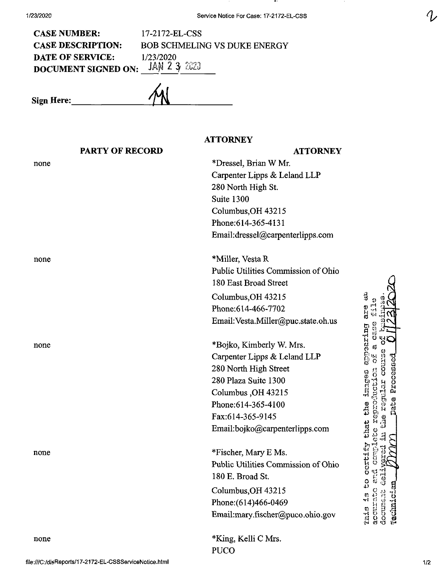CASE NUMBER: 17-2172-EL-CSS CASE DESCRIPTION: BOB SCHMELING VS DUKE ENERGY **DATE OF SERVICE:** 1/23/2020 DOCUMENT SIGNED ON:  $JAN 2 3 2323$ 

**Sign Here:.**

## **ATTORNEY**

|      | <b>PARTY OF RECORD</b> | <b>ATTORNEY</b>                     |                                           |
|------|------------------------|-------------------------------------|-------------------------------------------|
| none |                        | *Dressel, Brian W Mr.               |                                           |
|      |                        | Carpenter Lipps & Leland LLP        |                                           |
|      |                        | 280 North High St.                  |                                           |
|      |                        | Suite 1300                          |                                           |
|      |                        | Columbus, OH 43215                  |                                           |
|      |                        | Phone: 614-365-4131                 |                                           |
|      |                        | Email:dressel@carpenterlipps.com    |                                           |
| none |                        | *Miller, Vesta R                    |                                           |
|      |                        | Public Utilities Commission of Ohio |                                           |
|      |                        | 180 East Broad Street               |                                           |
|      |                        | Columbus, OH 43215                  | تل<br>تا                                  |
|      |                        | Phone: 614-466-7702                 | are                                       |
|      |                        | Email: Vesta.Miller@puc.state.oh.us | O<br>O                                    |
| none |                        | *Bojko, Kimberly W. Mrs.            | paring<br>ប៉                              |
|      |                        | Carpenter Lipps & Leland LLP        |                                           |
|      |                        | 280 North High Street               |                                           |
|      |                        | 280 Plaza Suite 1300                | Processed                                 |
|      |                        | Columbus, OH 43215                  |                                           |
|      |                        | Phone: 614-365-4100                 | ate                                       |
|      |                        | Fax:614-365-9145                    |                                           |
|      |                        | Email:bojko@carpenterlipps.com      | Ena                                       |
| none |                        | *Fischer, Mary E Ms.                | ertif                                     |
|      |                        | Public Utilities Commission of Ohio |                                           |
|      |                        | 180 E. Broad St.                    | ប ប<br>-<br>្លូ                           |
|      |                        | Columbus, OH 43215                  | C<br>C                                    |
|      |                        | Phone: (614)466-0469                | $\frac{1}{2}$                             |
|      |                        | Email:mary.fischer@puco.ohio.gov    | Technician<br>Crantoc<br>document<br>This |
| none |                        | *King, Kelli C Mrs.                 |                                           |
|      |                        | <b>PUCO</b>                         |                                           |